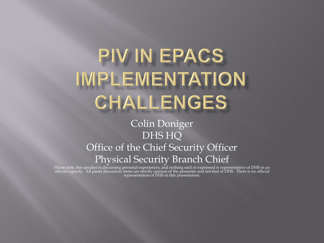## PIV IN EPACS IMPLEMENTATION CHALLENGES

## Colin Doniger DHS HQ Office of the Chief Security Officer Physical Security Branch Chief

Please note, this speaker is discussing personal experiences, and nothing said or expressed is representative of DHS in an official capacity. All panel discussion items are strictly opinion of the presenter and not that of DHS. There is no official representation of DHS in this presentation.